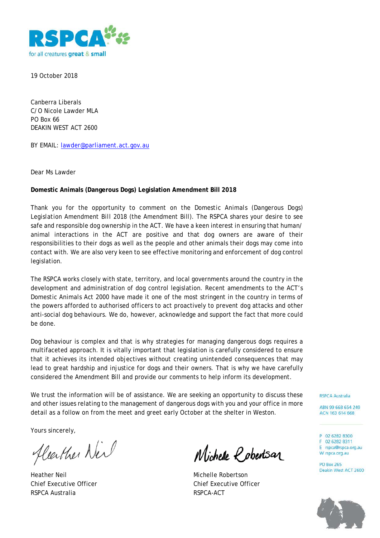

19 October 2018

Canberra Liberals C/O Nicole Lawder MLA PO Box 66 DEAKIN WEST ACT 2600

BY EMAIL: [lawder@parliament.act.gov.au](mailto:lawder@parliament.act.gov.au)

Dear Ms Lawder

# **Domestic Animals (Dangerous Dogs) Legislation Amendment Bill 2018**

Thank you for the opportunity to comment on the *Domestic Animals (Dangerous Dogs) Legislation Amendment Bill 2018* (the Amendment Bill). The RSPCA shares your desire to see safe and responsible dog ownership in the ACT. We have a keen interest in ensuring that human/ animal interactions in the ACT are positive and that dog owners are aware of their responsibilities to their dogs as well as the people and other animals their dogs may come into contact with. We are also very keen to see effective monitoring and enforcement of dog control legislation.

The RSPCA works closely with state, territory, and local governments around the country in the development and administration of dog control legislation. Recent amendments to the ACT's *Domestic Animals Act 2000* have made it one of the most stringent in the country in terms of the powers afforded to authorised officers to act proactively to prevent dog attacks and other anti-social dog behaviours. We do, however, acknowledge and support the fact that more could be done.

Dog behaviour is complex and that is why strategies for managing dangerous dogs requires a multifaceted approach. It is vitally important that legislation is carefully considered to ensure that it achieves its intended objectives without creating unintended consequences that may lead to great hardship and injustice for dogs and their owners. That is why we have carefully considered the Amendment Bill and provide our comments to help inform its development.

We trust the information will be of assistance. We are seeking an opportunity to discuss these and other issues relating to the management of dangerous dogs with you and your office in more detail as a follow on from the meet and greet early October at the shelter in Weston.

Yours sincerely,

fleether Neil

Heather Neil Michelle Robertson RSPCA Australia and a control of the RSPCA-ACT

Wichelle *Robertsar* 

Chief Executive Officer Chief Executive Officer

**RSPCA Australia** 

ABN 99 668 654 249 ACN 163 614 668

P 02 6282 8300 F 02 6282 8311 E rspca@rspca.org.au W rspca.org.au

**PO Box 265** Deakin West ACT 2600

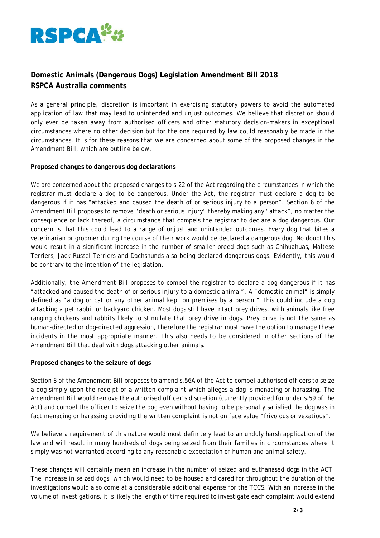

# **Domestic Animals (Dangerous Dogs) Legislation Amendment Bill 2018 RSPCA Australia comments**

As a general principle, discretion is important in exercising statutory powers to avoid the automated application of law that may lead to unintended and unjust outcomes. We believe that discretion should only ever be taken away from authorised officers and other statutory decision-makers in exceptional circumstances where no other decision but for the one required by law could reasonably be made in the circumstances. It is for these reasons that we are concerned about some of the proposed changes in the Amendment Bill, which are outline below.

### **Proposed changes to dangerous dog declarations**

We are concerned about the proposed changes to s.22 of the Act regarding the circumstances in which the registrar must declare a dog to be dangerous. Under the Act, the registrar must declare a dog to be dangerous if it has "attacked and caused the death of or serious injury to a person". Section 6 of the Amendment Bill proposes to remove "death or serious injury" thereby making any "attack", no matter the consequence or lack thereof, a circumstance that compels the registrar to declare a dog dangerous. Our concern is that this could lead to a range of unjust and unintended outcomes. Every dog that bites a veterinarian or groomer during the course of their work would be declared a dangerous dog. No doubt this would result in a significant increase in the number of smaller breed dogs such as Chihuahuas, Maltese Terriers, Jack Russel Terriers and Dachshunds also being declared dangerous dogs. Evidently, this would be contrary to the intention of the legislation.

Additionally, the Amendment Bill proposes to compel the registrar to declare a dog dangerous if it has "attacked and caused the death of or serious injury to a domestic animal". A "domestic animal" is simply defined as "a dog or cat or any other animal kept on premises by a person." This could include a dog attacking a pet rabbit or backyard chicken. Most dogs still have intact prey drives, with animals like free ranging chickens and rabbits likely to stimulate that prey drive in dogs. Prey drive is not the same as human-directed or dog-directed aggression, therefore the registrar must have the option to manage these incidents in the most appropriate manner. This also needs to be considered in other sections of the Amendment Bill that deal with dogs attacking other animals.

### **Proposed changes to the seizure of dogs**

Section 8 of the Amendment Bill proposes to amend s.56A of the Act to compel authorised officers to seize a dog simply upon the receipt of a written complaint which alleges a dog is menacing or harassing. The Amendment Bill would remove the authorised officer's discretion (currently provided for under s.59 of the Act) and compel the officer to seize the dog even without having to be personally satisfied the dog was in fact menacing or harassing providing the written complaint is not on face value "frivolous or vexatious".

We believe a requirement of this nature would most definitely lead to an unduly harsh application of the law and will result in many hundreds of dogs being seized from their families in circumstances where it simply was not warranted according to any reasonable expectation of human and animal safety.

These changes will certainly mean an increase in the number of seized and euthanased dogs in the ACT. The increase in seized dogs, which would need to be housed and cared for throughout the duration of the investigations would also come at a considerable additional expense for the TCCS. With an increase in the volume of investigations, it is likely the length of time required to investigate each complaint would extend